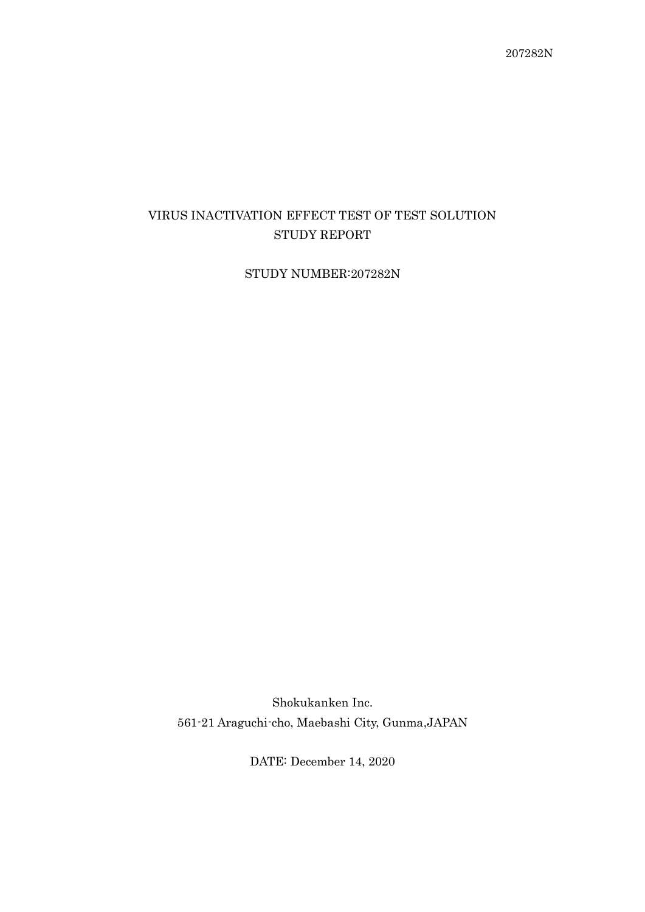# VIRUS INACTIVATION EFFECT TEST OF TEST SOLUTION STUDY REPORT

STUDY NUMBER:207282N

Shokukanken Inc. 561-21 Araguchi-cho, Maebashi City, Gunma,JAPAN

DATE: December 14, 2020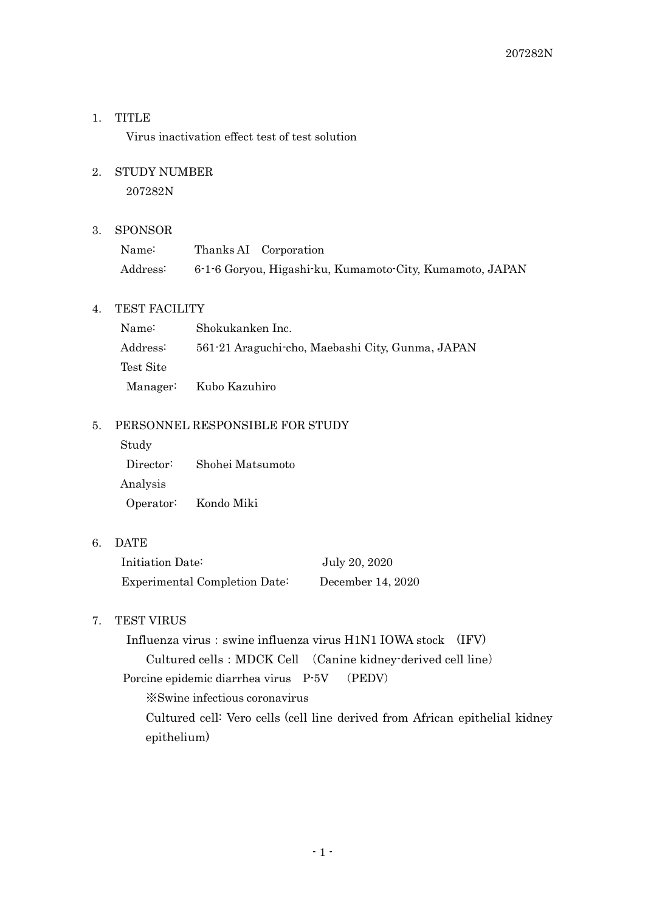# 1. TITLE

Virus inactivation effect test of test solution

## 2. STUDY NUMBER

207282N

#### 3. SPONSOR

| Name:    | Thanks AI Corporation                                    |
|----------|----------------------------------------------------------|
| Address: | 6-1-6 Goryou, Higashi-ku, Kumamoto-City, Kumamoto, JAPAN |

# 4. TEST FACILITY

| Name:     | Shokukanken Inc.                                 |
|-----------|--------------------------------------------------|
| Address:  | 561-21 Araguchi-cho, Maebashi City, Gunma, JAPAN |
| Test Site |                                                  |
|           | Manager: Kubo Kazuhiro                           |

# 5. PERSONNEL RESPONSIBLE FOR STUDY

Study Director: Shohei Matsumoto Analysis Operator: Kondo Miki

6. DATE

| Initiation Date:              | July 20, 2020     |
|-------------------------------|-------------------|
| Experimental Completion Date: | December 14, 2020 |

# 7. TEST VIRUS

Influenza virus: swine influenza virus H1N1 IOWA stock (IFV) Cultured cells:MDCK Cell (Canine kidney-derived cell line) Porcine epidemic diarrhea virus P-5V (PEDV)

※Swine infectious coronavirus

Cultured cell: Vero cells (cell line derived from African epithelial kidney epithelium)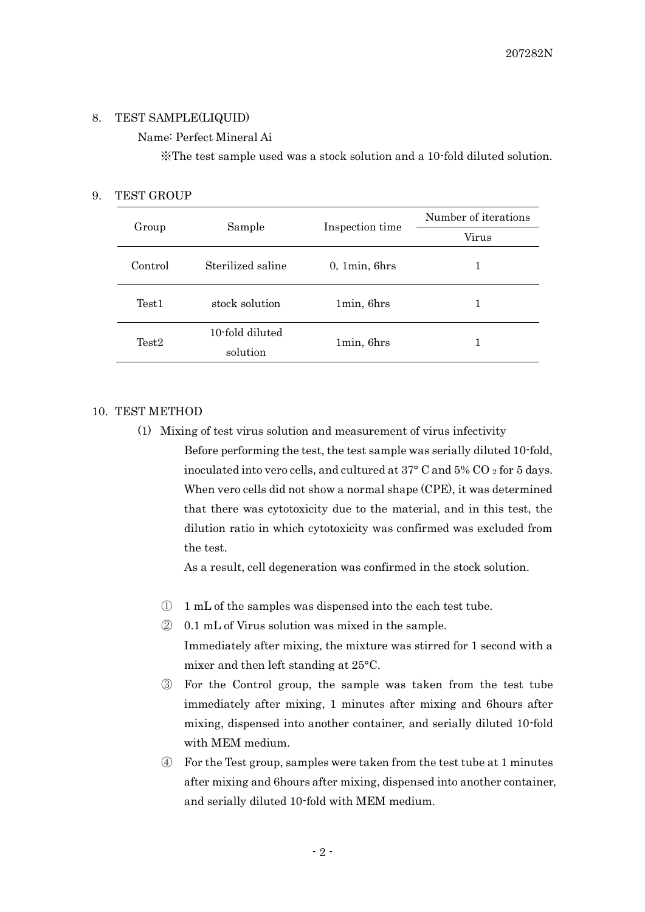#### 8. TEST SAMPLE(LIQUID)

## Name: Perfect Mineral Ai

※The test sample used was a stock solution and a 10-fold diluted solution.

#### 9. TEST GROUP

| Group             | Sample                      |                 | Number of iterations |
|-------------------|-----------------------------|-----------------|----------------------|
|                   |                             | Inspection time | Virus                |
| Control           | Sterilized saline           | 0, 1min, 6hrs   |                      |
| Test <sub>1</sub> | stock solution              | 1min, 6hrs      |                      |
| Test <sub>2</sub> | 10-fold diluted<br>solution | 1min, 6hrs      | 1                    |

#### 10. TEST METHOD

(1) Mixing of test virus solution and measurement of virus infectivity Before performing the test, the test sample was serially diluted 10-fold, inoculated into vero cells, and cultured at  $37^{\circ}$  C and  $5\%$  CO  $_2$  for 5 days. When vero cells did not show a normal shape (CPE), it was determined that there was cytotoxicity due to the material, and in this test, the dilution ratio in which cytotoxicity was confirmed was excluded from the test.

As a result, cell degeneration was confirmed in the stock solution.

- ① 1 mL of the samples was dispensed into the each test tube.
- ② 0.1 mL of Virus solution was mixed in the sample. Immediately after mixing, the mixture was stirred for 1 second with a mixer and then left standing at 25°C.
- ③ For the Control group, the sample was taken from the test tube immediately after mixing, 1 minutes after mixing and 6hours after mixing, dispensed into another container, and serially diluted 10-fold with MEM medium.
- ④ For the Test group, samples were taken from the test tube at 1 minutes after mixing and 6hours after mixing, dispensed into another container, and serially diluted 10-fold with MEM medium.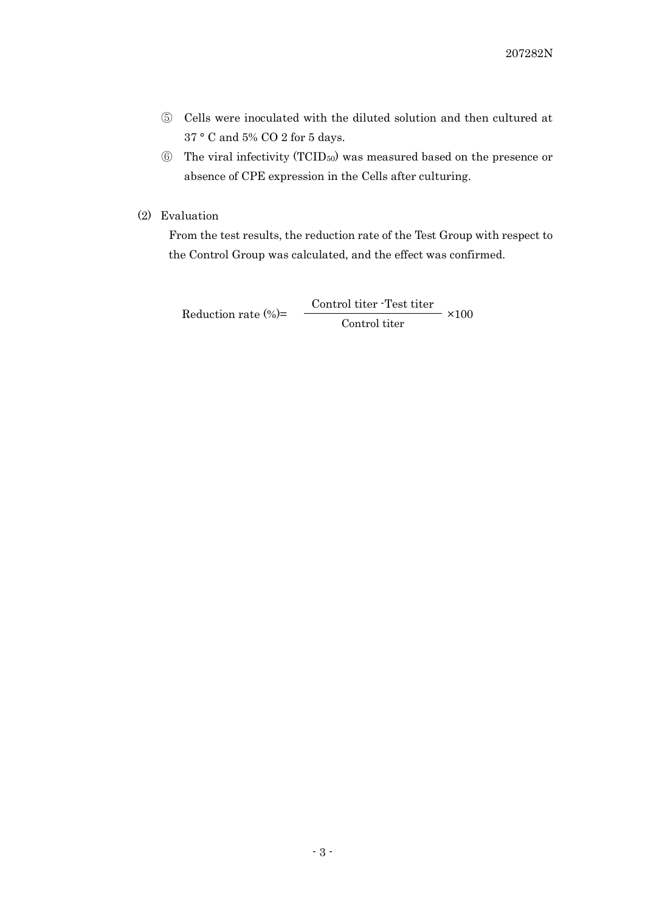- ⑤ Cells were inoculated with the diluted solution and then cultured at 37 ° C and 5% CO 2 for 5 days.
- ⑥ The viral infectivity (TCID50) was measured based on the presence or absence of CPE expression in the Cells after culturing.
- (2) Evaluation

From the test results, the reduction rate of the Test Group with respect to the Control Group was calculated, and the effect was confirmed.

Reduction rate (%)= Control titer -Test titer ×100 Control titer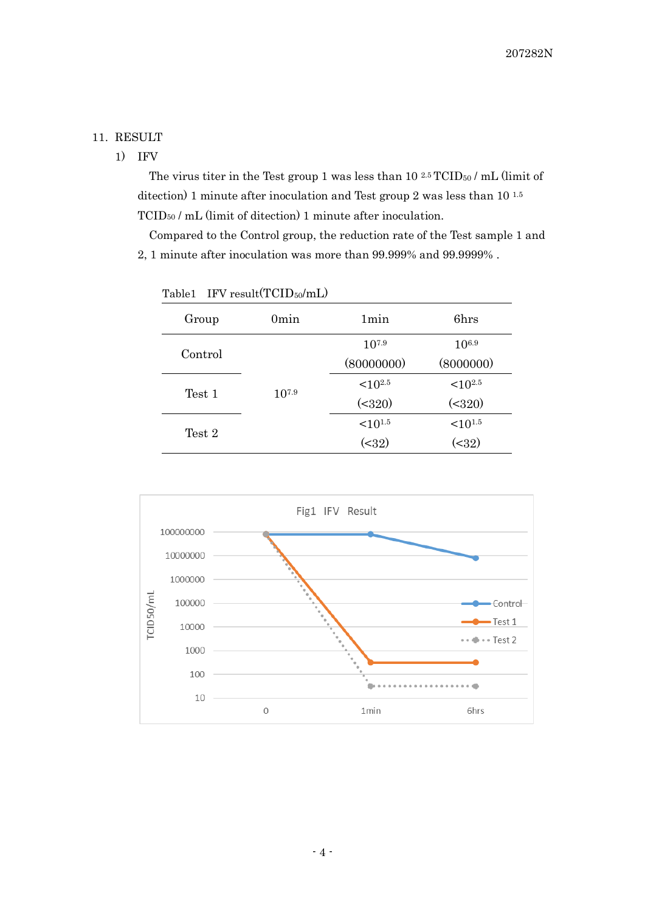## 11. RESULT

1) IFV

The virus titer in the Test group 1 was less than 10 <sup>2.5</sup> TCID<sub>50</sub> / mL (limit of ditection) 1 minute after inoculation and Test group 2 was less than 10<sup>1.5</sup> TCID<sup>50</sup> / mL (limit of ditection) 1 minute after inoculation.

Compared to the Control group, the reduction rate of the Test sample 1 and 2, 1 minute after inoculation was more than 99.999% and 99.9999% .

| rapier<br>IT A LEMIN LOLD $\frac{1}{100}$ IIII) |            |                       |                       |
|-------------------------------------------------|------------|-----------------------|-----------------------|
| Group                                           | 0min       | 1 <sub>min</sub>      | 6hrs                  |
| Control                                         | $10^{7.9}$ | $10^{7.9}$            | $10^{6.9}$            |
|                                                 |            | (80000000)            | (8000000)             |
| Test 1                                          |            | $<$ 10 <sup>2.5</sup> | ${<}10^{2.5}$         |
|                                                 |            | ( <b>320</b> )        | ( <b>320</b> )        |
| Test 2                                          |            | $<$ 10 <sup>1.5</sup> | $<$ 10 <sup>1.5</sup> |
|                                                 |            | ( < 32)               | ( < 32)               |

Table1 IFV result(TCID50/mL)

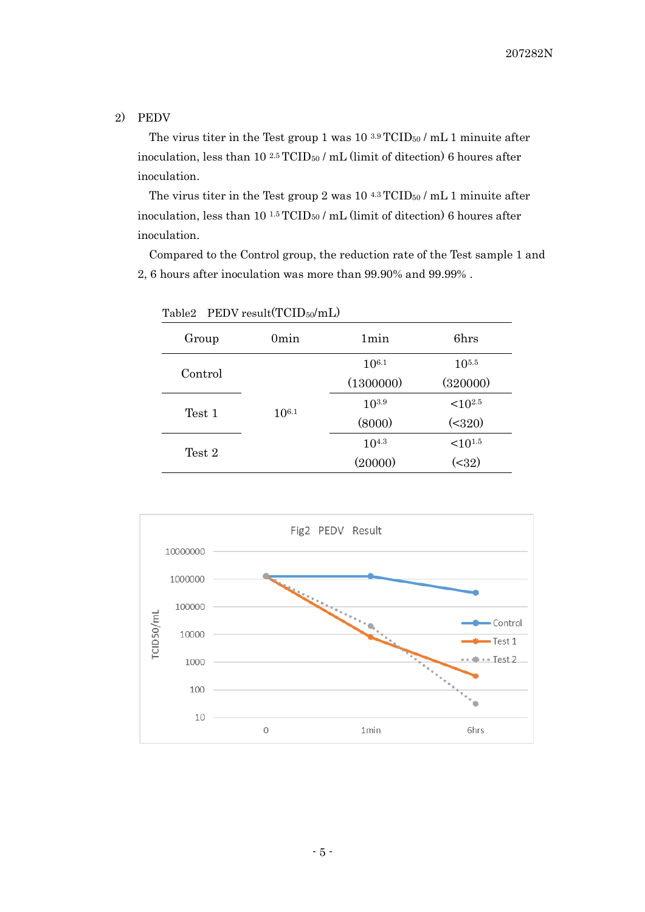## 2) PEDV

The virus titer in the Test group 1 was  $10^{3.9}$  TCID<sub>50</sub> / mL 1 minuite after inoculation, less than  $10^{2.5}$  TCID<sub>50</sub> / mL (limit of ditection) 6 houres after inoculation.

The virus titer in the Test group 2 was  $10^{4.3}$  TCID<sub>50</sub> / mL 1 minuite after inoculation, less than 10<sup>1.5</sup> TCID<sub>50</sub> / mL (limit of ditection) 6 houres after inoculation.

Compared to the Control group, the reduction rate of the Test sample 1 and 2, 6 hours after inoculation was more than 99.90% and 99.99% .

| Group   | 0 <sub>min</sub> | 1min       | 6hrs          |
|---------|------------------|------------|---------------|
|         | $10^{6.1}$       | $10^{6.1}$ | $10^{5.5}$    |
| Control |                  | (1300000)  | (320000)      |
|         |                  | $10^{3.9}$ | $< 10^{2.5}$  |
| Test 1  |                  | (8000)     | (2320)        |
|         |                  | $10^{4.3}$ | ${<}10^{1.5}$ |
| Test 2  |                  | (20000)    | ( < 32)       |

Table2 PEDV result(TCID<sub>50</sub>/mL)